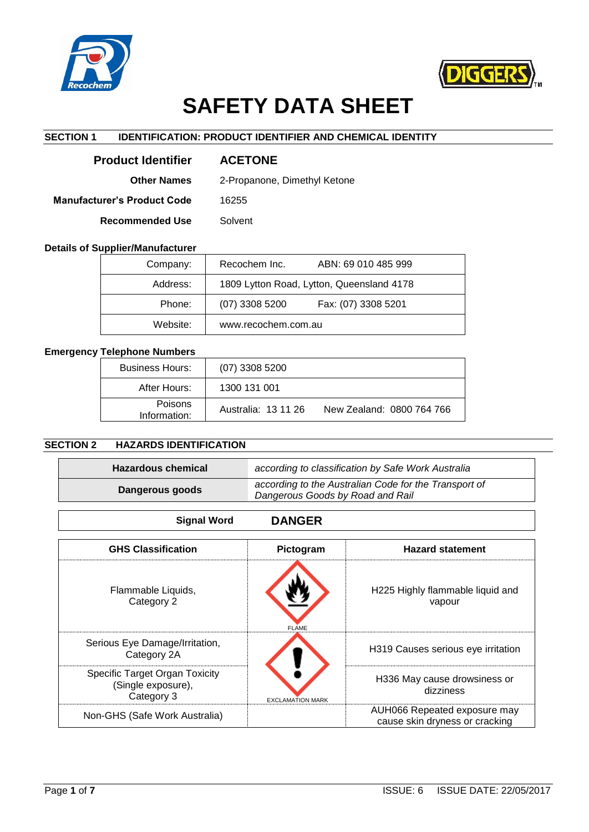



# **SAFETY DATA SHEET**

# **SECTION 1 IDENTIFICATION: PRODUCT IDENTIFIER AND CHEMICAL IDENTITY**

| <b>Product Identifier</b>   | <b>ACETONE</b>               |
|-----------------------------|------------------------------|
| <b>Other Names</b>          | 2-Propanone, Dimethyl Ketone |
| Manufacturer's Product Code | 16255                        |
| <b>Recommended Use</b>      | Solvent                      |

## **Details of Supplier/Manufacturer**

| Company: | Recochem Inc.<br>ABN: 69 010 485 999      |  |
|----------|-------------------------------------------|--|
| Address: | 1809 Lytton Road, Lytton, Queensland 4178 |  |
| Phone:   | $(07)$ 3308 5200<br>Fax: (07) 3308 5201   |  |
| Website: | www.recochem.com.au                       |  |

# **Emergency Telephone Numbers**

| <b>Business Hours:</b>  | $(07)$ 3308 5200    |                           |
|-------------------------|---------------------|---------------------------|
| After Hours:            | 1300 131 001        |                           |
| Poisons<br>Information: | Australia: 13 11 26 | New Zealand: 0800 764 766 |

# **SECTION 2 HAZARDS IDENTIFICATION**

| <b>Hazardous chemical</b> | according to classification by Safe Work Australia                                        |
|---------------------------|-------------------------------------------------------------------------------------------|
| Dangerous goods           | according to the Australian Code for the Transport of<br>Dangerous Goods by Road and Rail |

| <b>Signal Word</b>                                                 | <b>DANGER</b>           |                                                                |
|--------------------------------------------------------------------|-------------------------|----------------------------------------------------------------|
| <b>GHS Classification</b>                                          | Pictogram               | <b>Hazard statement</b>                                        |
| Flammable Liquids,<br>Category 2                                   | <b>FLAME</b>            | H225 Highly flammable liquid and<br>vapour                     |
| Serious Eye Damage/Irritation,<br>Category 2A                      |                         | H319 Causes serious eye irritation                             |
| Specific Target Organ Toxicity<br>(Single exposure),<br>Category 3 | <b>EXCLAMATION MARK</b> | H336 May cause drowsiness or<br>dizziness                      |
| Non-GHS (Safe Work Australia)                                      |                         | AUH066 Repeated exposure may<br>cause skin dryness or cracking |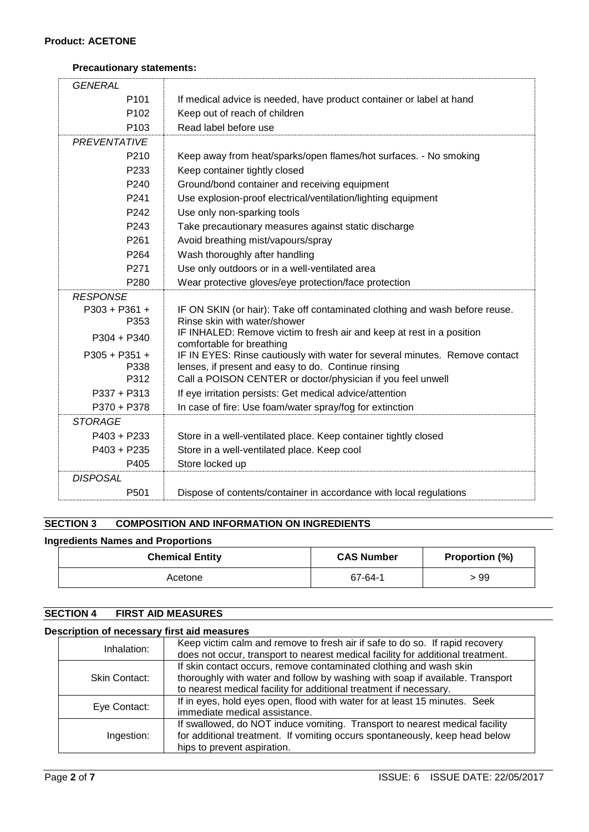## **Precautionary statements:**

| <b>GENERAL</b>      |                                                                                                    |
|---------------------|----------------------------------------------------------------------------------------------------|
| P <sub>101</sub>    | If medical advice is needed, have product container or label at hand                               |
| P102                | Keep out of reach of children                                                                      |
| P <sub>103</sub>    | Read label before use                                                                              |
| <b>PREVENTATIVE</b> |                                                                                                    |
| P <sub>210</sub>    | Keep away from heat/sparks/open flames/hot surfaces. - No smoking                                  |
| P233                | Keep container tightly closed                                                                      |
| P240                | Ground/bond container and receiving equipment                                                      |
| P241                | Use explosion-proof electrical/ventilation/lighting equipment                                      |
| P242                | Use only non-sparking tools                                                                        |
| P243                | Take precautionary measures against static discharge                                               |
| P261                | Avoid breathing mist/vapours/spray                                                                 |
| P264                | Wash thoroughly after handling                                                                     |
| P271                | Use only outdoors or in a well-ventilated area                                                     |
| P280                | Wear protective gloves/eye protection/face protection                                              |
| <b>RESPONSE</b>     |                                                                                                    |
| $P303 + P361 +$     | IF ON SKIN (or hair): Take off contaminated clothing and wash before reuse.                        |
| P353                | Rinse skin with water/shower                                                                       |
| $P304 + P340$       | IF INHALED: Remove victim to fresh air and keep at rest in a position<br>comfortable for breathing |
| $P305 + P351 +$     | IF IN EYES: Rinse cautiously with water for several minutes. Remove contact                        |
| P338                | lenses, if present and easy to do. Continue rinsing                                                |
| P312                | Call a POISON CENTER or doctor/physician if you feel unwell                                        |
| $P337 + P313$       | If eye irritation persists: Get medical advice/attention                                           |
| P370 + P378         | In case of fire: Use foam/water spray/fog for extinction                                           |
| <b>STORAGE</b>      |                                                                                                    |
| $P403 + P233$       | Store in a well-ventilated place. Keep container tightly closed                                    |
| $P403 + P235$       | Store in a well-ventilated place. Keep cool                                                        |
| P405                | Store locked up                                                                                    |
| <b>DISPOSAL</b>     |                                                                                                    |
| P501                | Dispose of contents/container in accordance with local regulations                                 |

# **SECTION 3 COMPOSITION AND INFORMATION ON INGREDIENTS**

#### **Ingredients Names and Proportions**

| <b>Chemical Entity</b> | <b>CAS Number</b> | Proportion (%) |
|------------------------|-------------------|----------------|
| Acetone                | 67-64-1           | > 99           |

# **SECTION 4 FIRST AID MEASURES**

# **Description of necessary first aid measures**

| Inhalation:          | Keep victim calm and remove to fresh air if safe to do so. If rapid recovery<br>does not occur, transport to nearest medical facility for additional treatment.                                                           |
|----------------------|---------------------------------------------------------------------------------------------------------------------------------------------------------------------------------------------------------------------------|
| <b>Skin Contact:</b> | If skin contact occurs, remove contaminated clothing and wash skin<br>thoroughly with water and follow by washing with soap if available. Transport<br>to nearest medical facility for additional treatment if necessary. |
| Eye Contact:         | If in eyes, hold eyes open, flood with water for at least 15 minutes. Seek<br>immediate medical assistance.                                                                                                               |
| Ingestion:           | If swallowed, do NOT induce vomiting. Transport to nearest medical facility<br>for additional treatment. If vomiting occurs spontaneously, keep head below<br>hips to prevent aspiration.                                 |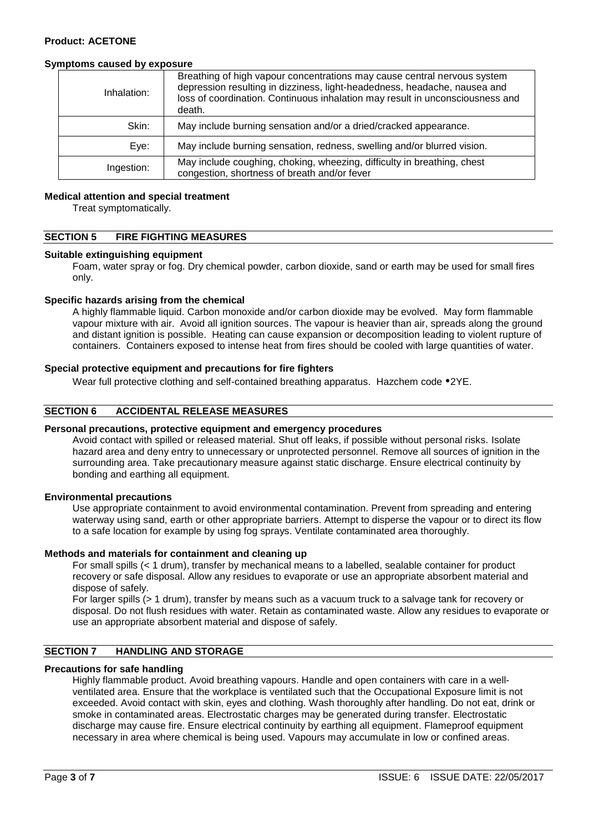## **Symptoms caused by exposure**

| Inhalation: | Breathing of high vapour concentrations may cause central nervous system<br>depression resulting in dizziness, light-headedness, headache, nausea and<br>loss of coordination. Continuous inhalation may result in unconsciousness and<br>death. |
|-------------|--------------------------------------------------------------------------------------------------------------------------------------------------------------------------------------------------------------------------------------------------|
| Skin:       | May include burning sensation and/or a dried/cracked appearance.                                                                                                                                                                                 |
| Eye:        | May include burning sensation, redness, swelling and/or blurred vision.                                                                                                                                                                          |
| Ingestion:  | May include coughing, choking, wheezing, difficulty in breathing, chest<br>congestion, shortness of breath and/or fever                                                                                                                          |

## **Medical attention and special treatment**

Treat symptomatically.

# **SECTION 5 FIRE FIGHTING MEASURES**

#### **Suitable extinguishing equipment**

Foam, water spray or fog. Dry chemical powder, carbon dioxide, sand or earth may be used for small fires only.

## **Specific hazards arising from the chemical**

A highly flammable liquid. Carbon monoxide and/or carbon dioxide may be evolved. May form flammable vapour mixture with air. Avoid all ignition sources. The vapour is heavier than air, spreads along the ground and distant ignition is possible. Heating can cause expansion or decomposition leading to violent rupture of containers. Containers exposed to intense heat from fires should be cooled with large quantities of water.

## **Special protective equipment and precautions for fire fighters**

Wear full protective clothing and self-contained breathing apparatus. Hazchem code  $2YE$ .

# **SECTION 6 ACCIDENTAL RELEASE MEASURES**

#### **Personal precautions, protective equipment and emergency procedures**

Avoid contact with spilled or released material. Shut off leaks, if possible without personal risks. Isolate hazard area and deny entry to unnecessary or unprotected personnel. Remove all sources of ignition in the surrounding area. Take precautionary measure against static discharge. Ensure electrical continuity by bonding and earthing all equipment.

#### **Environmental precautions**

Use appropriate containment to avoid environmental contamination. Prevent from spreading and entering waterway using sand, earth or other appropriate barriers. Attempt to disperse the vapour or to direct its flow to a safe location for example by using fog sprays. Ventilate contaminated area thoroughly.

#### **Methods and materials for containment and cleaning up**

For small spills (< 1 drum), transfer by mechanical means to a labelled, sealable container for product recovery or safe disposal. Allow any residues to evaporate or use an appropriate absorbent material and dispose of safely.

For larger spills (> 1 drum), transfer by means such as a vacuum truck to a salvage tank for recovery or disposal. Do not flush residues with water. Retain as contaminated waste. Allow any residues to evaporate or use an appropriate absorbent material and dispose of safely.

# **SECTION 7 HANDLING AND STORAGE**

## **Precautions for safe handling**

Highly flammable product. Avoid breathing vapours. Handle and open containers with care in a wellventilated area. Ensure that the workplace is ventilated such that the Occupational Exposure limit is not exceeded. Avoid contact with skin, eyes and clothing. Wash thoroughly after handling. Do not eat, drink or smoke in contaminated areas. Electrostatic charges may be generated during transfer. Electrostatic discharge may cause fire. Ensure electrical continuity by earthing all equipment. Flameproof equipment necessary in area where chemical is being used. Vapours may accumulate in low or confined areas.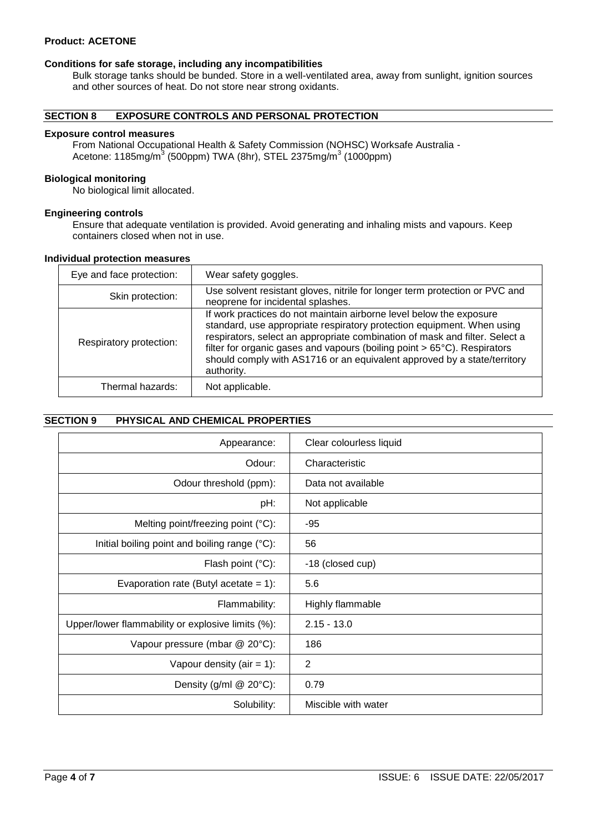# **Product: ACETONE**

#### **Conditions for safe storage, including any incompatibilities**

Bulk storage tanks should be bunded. Store in a well-ventilated area, away from sunlight, ignition sources and other sources of heat. Do not store near strong oxidants.

# **SECTION 8 EXPOSURE CONTROLS AND PERSONAL PROTECTION**

#### **Exposure control measures**

From National Occupational Health & Safety Commission (NOHSC) Worksafe Australia - Acetone: 1185mg/m<sup>3</sup> (500ppm) TWA (8hr), STEL 2375mg/m<sup>3</sup> (1000ppm)

## **Biological monitoring**

No biological limit allocated.

#### **Engineering controls**

Ensure that adequate ventilation is provided. Avoid generating and inhaling mists and vapours. Keep containers closed when not in use.

#### **Individual protection measures**

| Eye and face protection: | Wear safety goggles.                                                                                                                                                                                                                                                                                                                                                                               |
|--------------------------|----------------------------------------------------------------------------------------------------------------------------------------------------------------------------------------------------------------------------------------------------------------------------------------------------------------------------------------------------------------------------------------------------|
| Skin protection:         | Use solvent resistant gloves, nitrile for longer term protection or PVC and<br>neoprene for incidental splashes.                                                                                                                                                                                                                                                                                   |
| Respiratory protection:  | If work practices do not maintain airborne level below the exposure<br>standard, use appropriate respiratory protection equipment. When using<br>respirators, select an appropriate combination of mask and filter. Select a<br>filter for organic gases and vapours (boiling point > 65°C). Respirators<br>should comply with AS1716 or an equivalent approved by a state/territory<br>authority. |
| Thermal hazards:         | Not applicable.                                                                                                                                                                                                                                                                                                                                                                                    |

## **SECTION 9 PHYSICAL AND CHEMICAL PROPERTIES**

| Appearance:                                       | Clear colourless liquid |
|---------------------------------------------------|-------------------------|
| Odour:                                            | Characteristic          |
| Odour threshold (ppm):                            | Data not available      |
| pH:                                               | Not applicable          |
| Melting point/freezing point (°C):                | $-95$                   |
| Initial boiling point and boiling range (°C):     | 56                      |
| Flash point (°C):                                 | -18 (closed cup)        |
| Evaporation rate (Butyl acetate = $1$ ):          | 5.6                     |
| Flammability:                                     | Highly flammable        |
| Upper/lower flammability or explosive limits (%): | $2.15 - 13.0$           |
| Vapour pressure (mbar @ 20°C):                    | 186                     |
| Vapour density (air = $1$ ):                      | 2                       |
| Density (g/ml $@$ 20 $°C$ ):                      | 0.79                    |
| Solubility:                                       | Miscible with water     |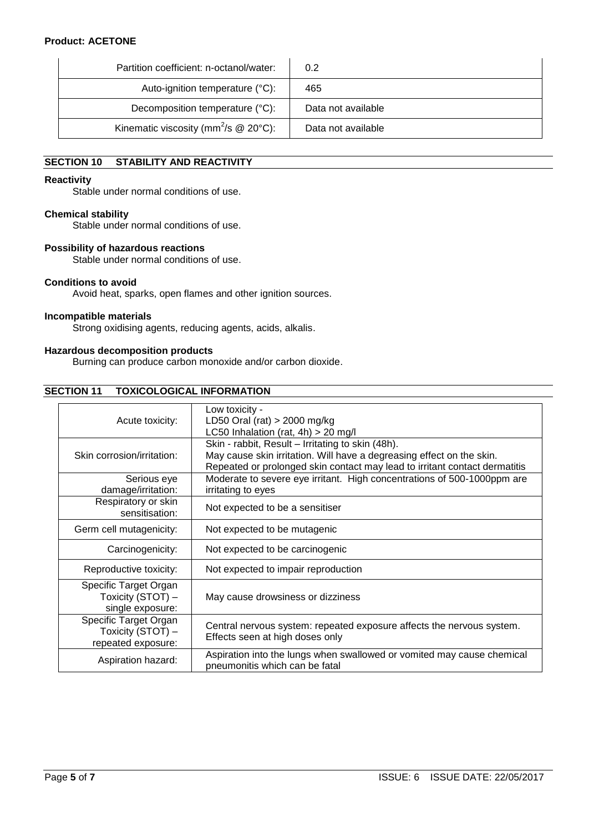# **Product: ACETONE**

| Partition coefficient: n-octanol/water:                | 0.2                |
|--------------------------------------------------------|--------------------|
| Auto-ignition temperature (°C):                        | 465                |
| Decomposition temperature (°C):                        | Data not available |
| Kinematic viscosity (mm <sup>2</sup> /s $@$ 20 $°C$ ): | Data not available |

# **SECTION 10 STABILITY AND REACTIVITY**

#### **Reactivity**

Stable under normal conditions of use.

## **Chemical stability**

Stable under normal conditions of use.

#### **Possibility of hazardous reactions**

Stable under normal conditions of use.

## **Conditions to avoid**

Avoid heat, sparks, open flames and other ignition sources.

#### **Incompatible materials**

Strong oxidising agents, reducing agents, acids, alkalis.

## **Hazardous decomposition products**

Burning can produce carbon monoxide and/or carbon dioxide.

## **SECTION 11 TOXICOLOGICAL INFORMATION**

| Acute toxicity:                                                  | Low toxicity -<br>LD50 Oral (rat) $>$ 2000 mg/kg<br>LC50 Inhalation (rat, $4h$ ) > 20 mg/l                                                                                                               |  |
|------------------------------------------------------------------|----------------------------------------------------------------------------------------------------------------------------------------------------------------------------------------------------------|--|
| Skin corrosion/irritation:                                       | Skin - rabbit, Result - Irritating to skin (48h).<br>May cause skin irritation. Will have a degreasing effect on the skin.<br>Repeated or prolonged skin contact may lead to irritant contact dermatitis |  |
| Serious eye<br>damage/irritation:                                | Moderate to severe eye irritant. High concentrations of 500-1000ppm are<br>irritating to eyes                                                                                                            |  |
| Respiratory or skin<br>sensitisation:                            | Not expected to be a sensitiser                                                                                                                                                                          |  |
| Germ cell mutagenicity:                                          | Not expected to be mutagenic                                                                                                                                                                             |  |
| Carcinogenicity:                                                 | Not expected to be carcinogenic                                                                                                                                                                          |  |
| Reproductive toxicity:                                           | Not expected to impair reproduction                                                                                                                                                                      |  |
| Specific Target Organ<br>Toxicity (STOT) -<br>single exposure:   | May cause drowsiness or dizziness                                                                                                                                                                        |  |
| Specific Target Organ<br>Toxicity (STOT) -<br>repeated exposure: | Central nervous system: repeated exposure affects the nervous system.<br>Effects seen at high doses only                                                                                                 |  |
| Aspiration hazard:                                               | Aspiration into the lungs when swallowed or vomited may cause chemical<br>pneumonitis which can be fatal                                                                                                 |  |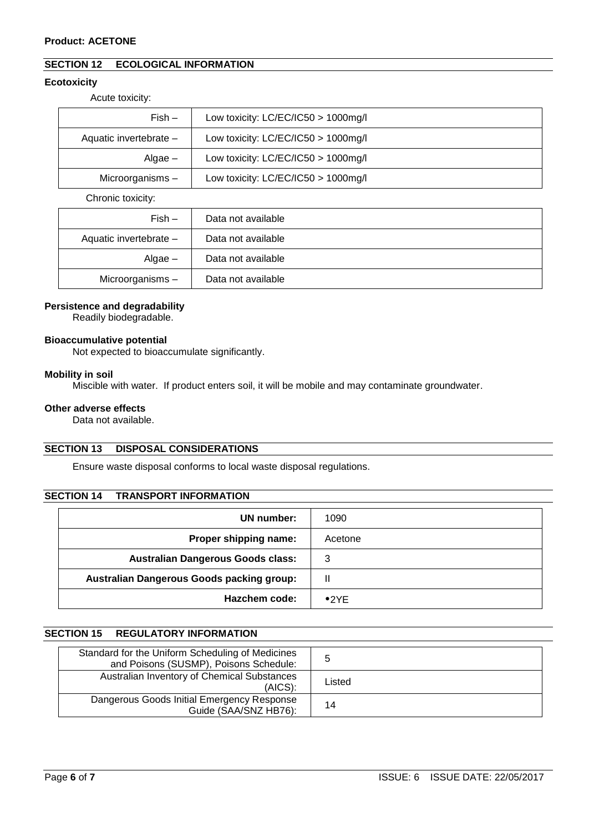# **SECTION 12 ECOLOGICAL INFORMATION**

# **Ecotoxicity**

Acute toxicity:

| $Fish -$               | Low toxicity: $LC/EC/IC50 > 1000$ mg/l |  |
|------------------------|----------------------------------------|--|
| Aquatic invertebrate - | Low toxicity: $LC/EC/IC50 > 1000$ mg/l |  |
| Algae $-$              | Low toxicity: $LC/EC/IC50 > 1000$ mg/l |  |
| Microorganisms-        | Low toxicity: $LC/EC/IC50 > 1000$ mg/l |  |

Chronic toxicity:

| $Fish -$               | Data not available |
|------------------------|--------------------|
| Aquatic invertebrate - | Data not available |
| $Algae -$              | Data not available |
| Microorganisms-        | Data not available |

## **Persistence and degradability**

Readily biodegradable.

## **Bioaccumulative potential**

Not expected to bioaccumulate significantly.

#### **Mobility in soil**

Miscible with water. If product enters soil, it will be mobile and may contaminate groundwater.

## **Other adverse effects**

Data not available.

# **SECTION 13 DISPOSAL CONSIDERATIONS**

Ensure waste disposal conforms to local waste disposal regulations.

# **SECTION 14 TRANSPORT INFORMATION**

| UN number:                                | 1090          |
|-------------------------------------------|---------------|
| Proper shipping name:                     | Acetone       |
| <b>Australian Dangerous Goods class:</b>  | 3             |
| Australian Dangerous Goods packing group: | Ш             |
| Hazchem code:                             | $\bullet$ 2YF |

## **SECTION 15 REGULATORY INFORMATION**

| Standard for the Uniform Scheduling of Medicines<br>and Poisons (SUSMP), Poisons Schedule: | đ      |
|--------------------------------------------------------------------------------------------|--------|
| Australian Inventory of Chemical Substances<br>(AICS):                                     | Listed |
| Dangerous Goods Initial Emergency Response<br>Guide (SAA/SNZ HB76):                        | 14     |